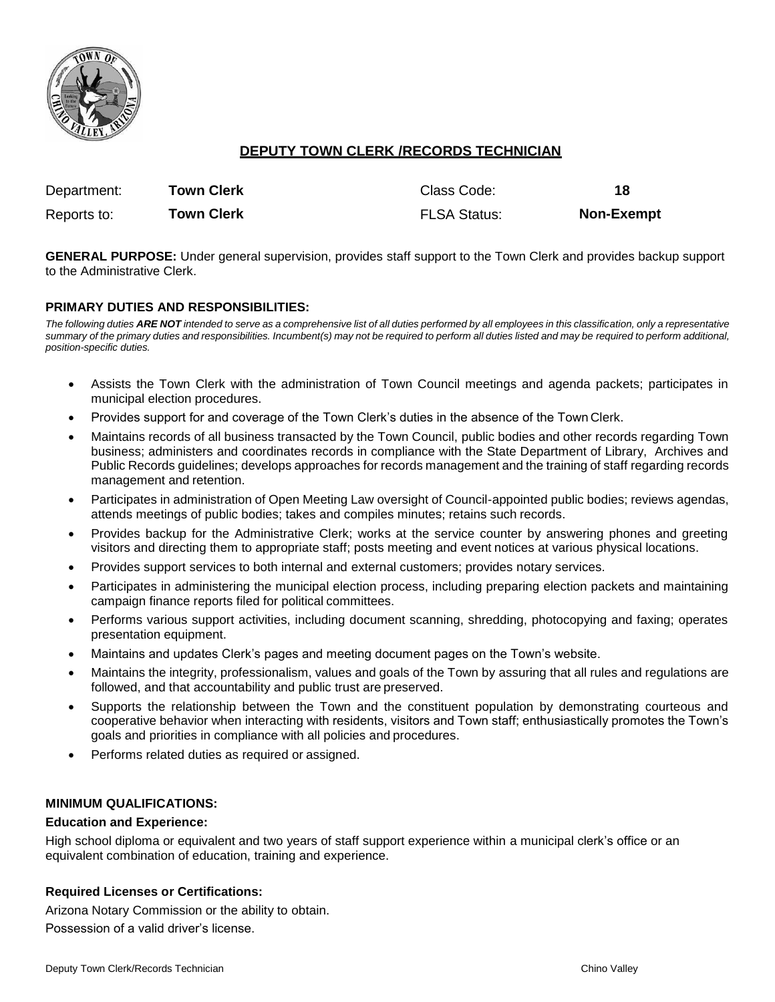

# **DEPUTY TOWN CLERK /RECORDS TECHNICIAN**

| Department: | Town Clerk        | Class Code:         | 18                |
|-------------|-------------------|---------------------|-------------------|
| Reports to: | <b>Town Clerk</b> | <b>FLSA Status:</b> | <b>Non-Exempt</b> |

**GENERAL PURPOSE:** Under general supervision, provides staff support to the Town Clerk and provides backup support to the Administrative Clerk.

## **PRIMARY DUTIES AND RESPONSIBILITIES:**

The following duties ARE NOT intended to serve as a comprehensive list of all duties performed by all employees in this classification, only a representative *summary of the primary duties and responsibilities. Incumbent(s) may not be required to perform all duties listed and may be required to perform additional, position-specific duties.*

- Assists the Town Clerk with the administration of Town Council meetings and agenda packets; participates in municipal election procedures.
- Provides support for and coverage of the Town Clerk's duties in the absence of the Town Clerk.
- Maintains records of all business transacted by the Town Council, public bodies and other records regarding Town business; administers and coordinates records in compliance with the State Department of Library, Archives and Public Records guidelines; develops approaches for records management and the training of staff regarding records management and retention.
- Participates in administration of Open Meeting Law oversight of Council-appointed public bodies; reviews agendas, attends meetings of public bodies; takes and compiles minutes; retains such records.
- Provides backup for the Administrative Clerk; works at the service counter by answering phones and greeting visitors and directing them to appropriate staff; posts meeting and event notices at various physical locations.
- Provides support services to both internal and external customers; provides notary services.
- Participates in administering the municipal election process, including preparing election packets and maintaining campaign finance reports filed for political committees.
- Performs various support activities, including document scanning, shredding, photocopying and faxing; operates presentation equipment.
- Maintains and updates Clerk's pages and meeting document pages on the Town's website.
- Maintains the integrity, professionalism, values and goals of the Town by assuring that all rules and regulations are followed, and that accountability and public trust are preserved.
- Supports the relationship between the Town and the constituent population by demonstrating courteous and cooperative behavior when interacting with residents, visitors and Town staff; enthusiastically promotes the Town's goals and priorities in compliance with all policies and procedures.
- Performs related duties as required or assigned.

#### **MINIMUM QUALIFICATIONS:**

#### **Education and Experience:**

High school diploma or equivalent and two years of staff support experience within a municipal clerk's office or an equivalent combination of education, training and experience.

#### **Required Licenses or Certifications:**

Arizona Notary Commission or the ability to obtain. Possession of a valid driver's license.